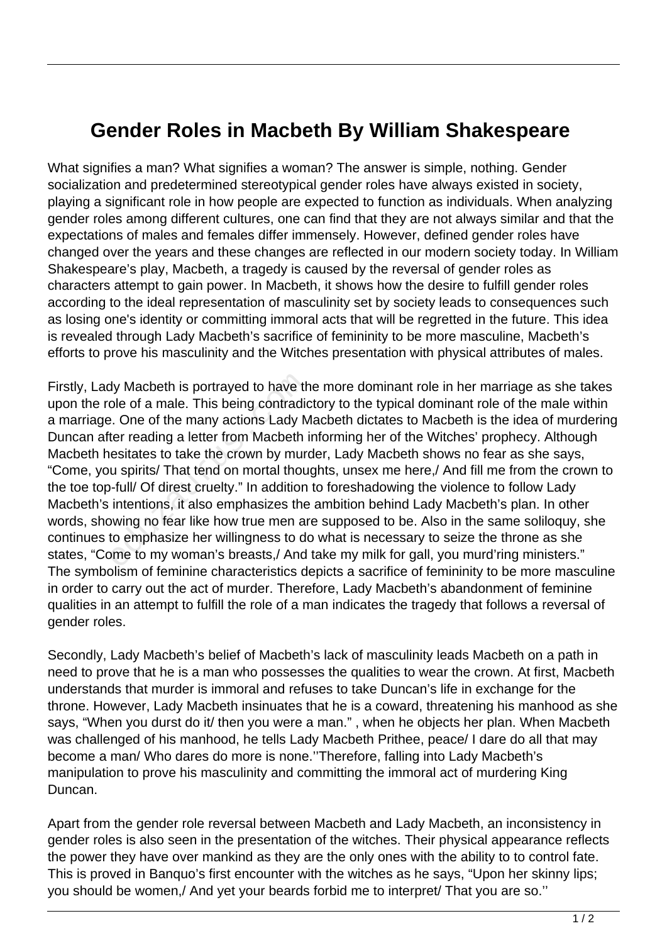## **Gender Roles in Macbeth By William Shakespeare**

What signifies a man? What signifies a woman? The answer is simple, nothing. Gender socialization and predetermined stereotypical gender roles have always existed in society, playing a significant role in how people are expected to function as individuals. When analyzing gender roles among different cultures, one can find that they are not always similar and that the expectations of males and females differ immensely. However, defined gender roles have changed over the years and these changes are reflected in our modern society today. In William Shakespeare's play, Macbeth, a tragedy is caused by the reversal of gender roles as characters attempt to gain power. In Macbeth, it shows how the desire to fulfill gender roles according to the ideal representation of masculinity set by society leads to consequences such as losing one's identity or committing immoral acts that will be regretted in the future. This idea is revealed through Lady Macbeth's sacrifice of femininity to be more masculine, Macbeth's efforts to prove his masculinity and the Witches presentation with physical attributes of males.

Firstly, Lady Macbeth is portrayed to have the more dominant role in her marriage as she takes upon the role of a male. This being contradictory to the typical dominant role of the male within a marriage. One of the many actions Lady Macbeth dictates to Macbeth is the idea of murdering Duncan after reading a letter from Macbeth informing her of the Witches' prophecy. Although Macbeth hesitates to take the crown by murder, Lady Macbeth shows no fear as she says, "Come, you spirits/ That tend on mortal thoughts, unsex me here,/ And fill me from the crown to the toe top-full/ Of direst cruelty." In addition to foreshadowing the violence to follow Lady Macbeth's intentions, it also emphasizes the ambition behind Lady Macbeth's plan. In other words, showing no fear like how true men are supposed to be. Also in the same soliloquy, she continues to emphasize her willingness to do what is necessary to seize the throne as she states, "Come to my woman's breasts,/ And take my milk for gall, you murd'ring ministers." The symbolism of feminine characteristics depicts a sacrifice of femininity to be more masculine in order to carry out the act of murder. Therefore, Lady Macbeth's abandonment of feminine qualities in an attempt to fulfill the role of a man indicates the tragedy that follows a reversal of gender roles. dy Macbeth is portrayed to have thole of a male. This being contradions.<br>
De of a male. This being contradions.<br>
Let reading a letter from Macbeth is<br>
esitates to take the crown by muriculary<br>
u spirits/ That tend on morta

Secondly, Lady Macbeth's belief of Macbeth's lack of masculinity leads Macbeth on a path in need to prove that he is a man who possesses the qualities to wear the crown. At first, Macbeth understands that murder is immoral and refuses to take Duncan's life in exchange for the throne. However, Lady Macbeth insinuates that he is a coward, threatening his manhood as she says, "When you durst do it/ then you were a man." , when he objects her plan. When Macbeth was challenged of his manhood, he tells Lady Macbeth Prithee, peace/ I dare do all that may become a man/ Who dares do more is none.''Therefore, falling into Lady Macbeth's manipulation to prove his masculinity and committing the immoral act of murdering King Duncan.

Apart from the gender role reversal between Macbeth and Lady Macbeth, an inconsistency in gender roles is also seen in the presentation of the witches. Their physical appearance reflects the power they have over mankind as they are the only ones with the ability to to control fate. This is proved in Banquo's first encounter with the witches as he says, "Upon her skinny lips; you should be women,/ And yet your beards forbid me to interpret/ That you are so.''